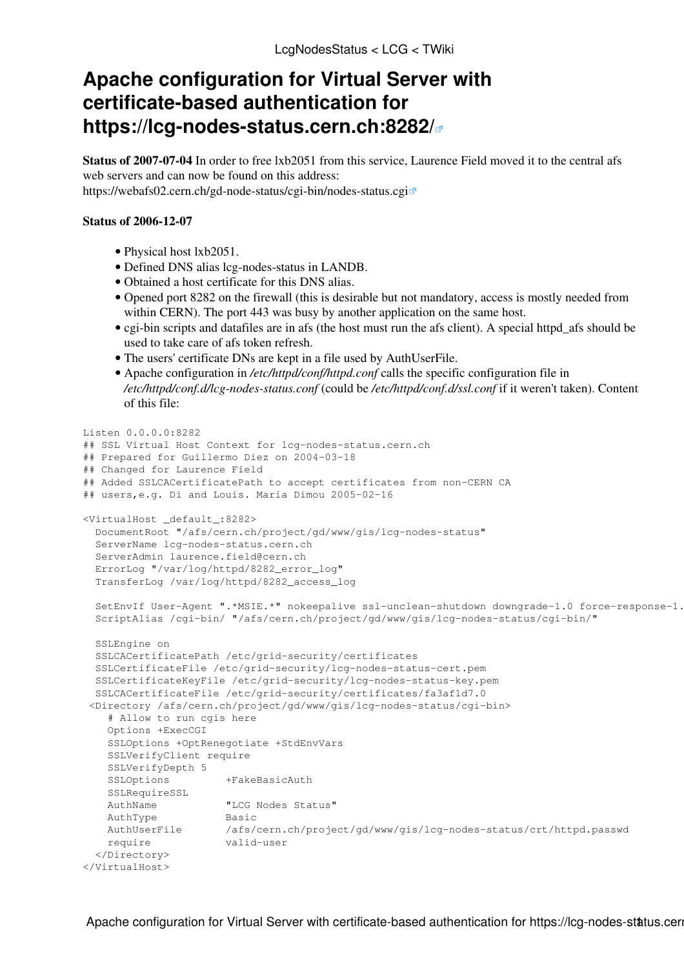## **Apache configuration for Virtual Server with certificate-based authentication for <https://lcg-nodes-status.cern.ch:8282/>**

**Status of 2007-07-04** In order to free lxb2051 from this service. Laurence Field moved it to the central afs web servers and can now be found on this address: <https://webafs02.cern.ch/gd-node-status/cgi-bin/nodes-status.cgi>

## **Status of 2006-12-07**

- Physical host lxb2051.
- Defined DNS alias lcg-nodes-status in LANDB.
- Obtained a host certificate for this DNS alias.
- Opened port 8282 on the firewall (this is desirable but not mandatory, access is mostly needed from within CERN). The port 443 was busy by another application on the same host.
- cgi-bin scripts and datafiles are in afs (the host must run the afs client). A special httpd\_afs should be used to take care of afs token refresh.
- The users' certificate DNs are kept in a file used by [AuthUserFile.](https://twiki.cern.ch/twiki/bin/edit/LCG/AuthUserFile?topicparent=LCG.LcgNodesStatus;nowysiwyg=1)
- Apache configuration in */etc/httpd/conf/httpd.conf* calls the specific configuration file in */etc/httpd/conf.d/lcg-nodes-status.conf* (could be */etc/httpd/conf.d/ssl.conf* if it weren't taken). Content of this file:

```
Listen 0.0.0.0:8282
## SSL Virtual Host Context for lcg-nodes-status.cern.ch
## Prepared for Guillermo Diez on 2004-03-18
## Changed for Laurence Field
## Added SSLCACertificatePath to accept certificates from non-CERN CA
## users,e.g. Di and Louis. Maria Dimou 2005-02-16
<VirtualHost _default_:8282>
  DocumentRoot "/afs/cern.ch/project/gd/www/gis/lcg-nodes-status"
  ServerName lcg-nodes-status.cern.ch
  ServerAdmin laurence.field@cern.ch
  ErrorLog "/var/log/httpd/8282_error_log"
  TransferLog /var/log/httpd/8282_access_log
  SetEnvIf User-Agent ".*MSIE.*" nokeepalive ssl-unclean-shutdown downgrade-1.0 force-response-1.0
  ScriptAlias /cgi-bin/ "/afs/cern.ch/project/gd/www/gis/lcg-nodes-status/cgi-bin/"
  SSLEngine on
  SSLCACertificatePath /etc/grid-security/certificates
  SSLCertificateFile /etc/grid-security/lcg-nodes-status-cert.pem
  SSLCertificateKeyFile /etc/grid-security/lcg-nodes-status-key.pem
  SSLCACertificateFile /etc/grid-security/certificates/fa3af1d7.0
  <Directory /afs/cern.ch/project/gd/www/gis/lcg-nodes-status/cgi-bin>
     # Allow to run cgis here
    Options +ExecCGI
    SSLOptions +OptRenegotiate +StdEnvVars
    SSLVerifyClient require
     SSLVerifyDepth 5
    SSLOptions +FakeBasicAuth
    SSLRequireSSL
    AuthName "LCG Nodes Status"
    AuthType Basic
    AuthUserFile /afs/cern.ch/project/gd/www/gis/lcg-nodes-status/crt/httpd.passwd
    require valid-user
  </Directory>
</VirtualHost>
```